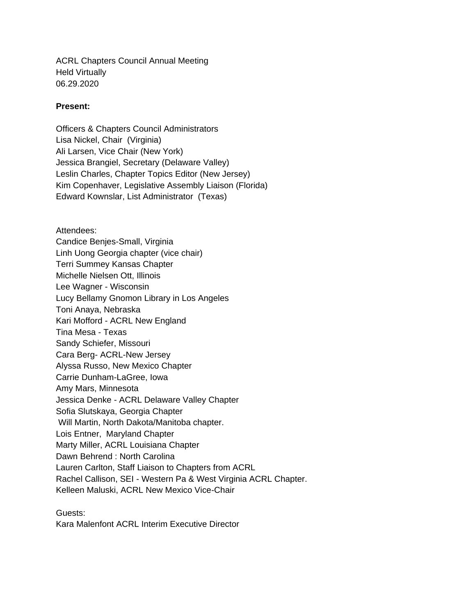ACRL Chapters Council Annual Meeting Held Virtually 06.29.2020

## **Present:**

Officers & Chapters Council Administrators Lisa Nickel, Chair (Virginia) Ali Larsen, Vice Chair (New York) Jessica Brangiel, Secretary (Delaware Valley) Leslin Charles, Chapter Topics Editor (New Jersey) Kim Copenhaver, Legislative Assembly Liaison (Florida) Edward Kownslar, List Administrator (Texas)

Attendees: Candice Benjes-Small, Virginia Linh Uong Georgia chapter (vice chair) Terri Summey Kansas Chapter Michelle Nielsen Ott, Illinois Lee Wagner - Wisconsin Lucy Bellamy Gnomon Library in Los Angeles Toni Anaya, Nebraska Kari Mofford - ACRL New England Tina Mesa - Texas Sandy Schiefer, Missouri Cara Berg- ACRL-New Jersey Alyssa Russo, New Mexico Chapter Carrie Dunham-LaGree, Iowa Amy Mars, Minnesota Jessica Denke - ACRL Delaware Valley Chapter Sofia Slutskaya, Georgia Chapter Will Martin, North Dakota/Manitoba chapter. Lois Entner, Maryland Chapter Marty Miller, ACRL Louisiana Chapter Dawn Behrend : North Carolina Lauren Carlton, Staff Liaison to Chapters from ACRL Rachel Callison, SEI - Western Pa & West Virginia ACRL Chapter. Kelleen Maluski, ACRL New Mexico Vice-Chair

Guests: Kara Malenfont ACRL Interim Executive Director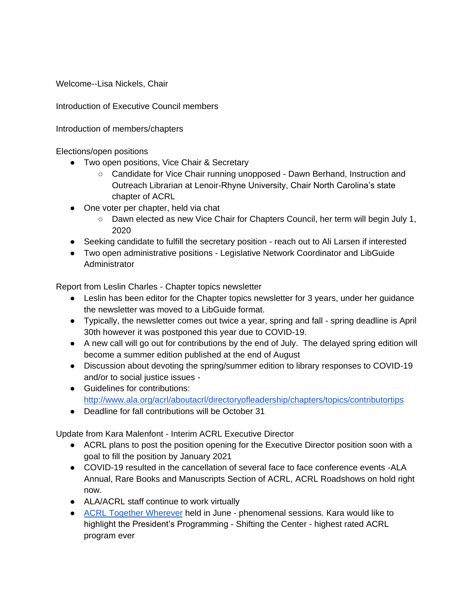Welcome--Lisa Nickels, Chair

Introduction of Executive Council members

Introduction of members/chapters

Elections/open positions

- Two open positions, Vice Chair & Secretary
	- Candidate for Vice Chair running unopposed Dawn Berhand, Instruction and Outreach Librarian at Lenoir-Rhyne University, Chair North Carolina's state chapter of ACRL
- One voter per chapter, held via chat
	- Dawn elected as new Vice Chair for Chapters Council, her term will begin July 1, 2020
- Seeking candidate to fulfill the secretary position reach out to Ali Larsen if interested
- Two open administrative positions Legislative Network Coordinator and LibGuide **Administrator**

Report from Leslin Charles - Chapter topics newsletter

- Leslin has been editor for the Chapter topics newsletter for 3 years, under her guidance the newsletter was moved to a LibGuide format.
- Typically, the newsletter comes out twice a year, spring and fall spring deadline is April 30th however it was postponed this year due to COVID-19.
- A new call will go out for contributions by the end of July. The delayed spring edition will become a summer edition published at the end of August
- Discussion about devoting the spring/summer edition to library responses to COVID-19 and/or to social justice issues -
- Guidelines for contributions: <http://www.ala.org/acrl/aboutacrl/directoryofleadership/chapters/topics/contributortips>
- Deadline for fall contributions will be October 31

Update from Kara Malenfont - Interim ACRL Executive Director

- ACRL plans to post the position opening for the Executive Director position soon with a goal to fill the position by January 2021
- COVID-19 resulted in the cancellation of several face to face conference events -ALA Annual, Rare Books and Manuscripts Section of ACRL, ACRL Roadshows on hold right now.
- ALA/ACRL staff continue to work virtually
- [ACRL Together Wherever](http://www.ala.org/acrl/conferences/atw) held in June phenomenal sessions. Kara would like to highlight the President's Programming - Shifting the Center - highest rated ACRL program ever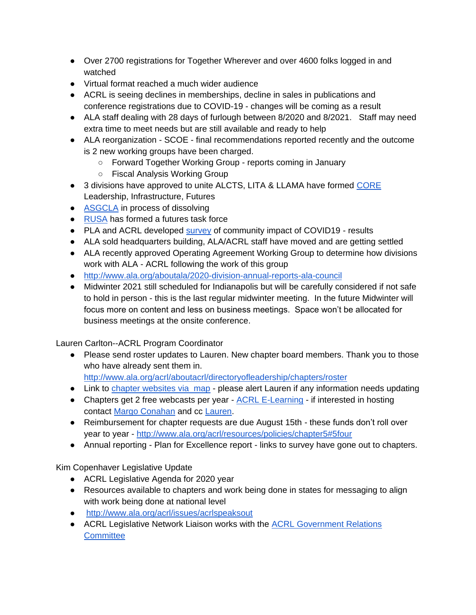- Over 2700 registrations for Together Wherever and over 4600 folks logged in and watched
- Virtual format reached a much wider audience
- ACRL is seeing declines in memberships, decline in sales in publications and conference registrations due to COVID-19 - changes will be coming as a result
- ALA staff dealing with 28 days of furlough between 8/2020 and 8/2021. Staff may need extra time to meet needs but are still available and ready to help
- ALA reorganization SCOE final recommendations reported recently and the outcome is 2 new working groups have been charged.
	- Forward Together Working Group reports coming in January
	- Fiscal Analysis Working Group
- 3 divisions have approved to unite ALCTS, LITA & LLAMA have formed CORE Leadership, Infrastructure, Futures
- [ASGCLA](http://www.ala.org/asgcla/) in process of dissolving
- [RUSA](http://www.ala.org/rusa/) has formed a futures task force
- PLA and ACRL developed [survey](http://www.ala.org/tools/covid/libraries-respond-covid-19-survey) of community impact of COVID19 results
- ALA sold headquarters building, ALA/ACRL staff have moved and are getting settled
- ALA recently approved Operating Agreement Working Group to determine how divisions work with ALA - ACRL following the work of this group
- <http://www.ala.org/aboutala/2020-division-annual-reports-ala-council>
- Midwinter 2021 still scheduled for Indianapolis but will be carefully considered if not safe to hold in person - this is the last regular midwinter meeting. In the future Midwinter will focus more on content and less on business meetings. Space won't be allocated for business meetings at the onsite conference.

Lauren Carlton--ACRL Program Coordinator

● Please send roster updates to Lauren. New chapter board members. Thank you to those who have already sent them in.

<http://www.ala.org/acrl/aboutacrl/directoryofleadership/chapters/roster>

- Link to [chapter websites via map](http://www.ala.org/acrl/aboutacrl/directoryofleadership/chapters/roster) please alert Lauren if any information needs updating
- Chapters get 2 free webcasts per year [ACRL E-Learning](http://www.ala.org/acrl/conferences/elearning/courses) if interested in hosting contact [Margo Conahan](mailto:mconahan@ala.org) and cc [Lauren.](mailto:lcarlton@ala.org)
- Reimbursement for chapter requests are due August 15th these funds don't roll over year to year - <http://www.ala.org/acrl/resources/policies/chapter5#5four>
- Annual reporting Plan for Excellence report links to survey have gone out to chapters.

Kim Copenhaver Legislative Update

- ACRL Legislative Agenda for 2020 year
- Resources available to chapters and work being done in states for messaging to align with work being done at national level
- <http://www.ala.org/acrl/issues/acrlspeaksout>
- **•** ACRL Legislative Network Liaison works with the ACRL Government Relations **Committee**